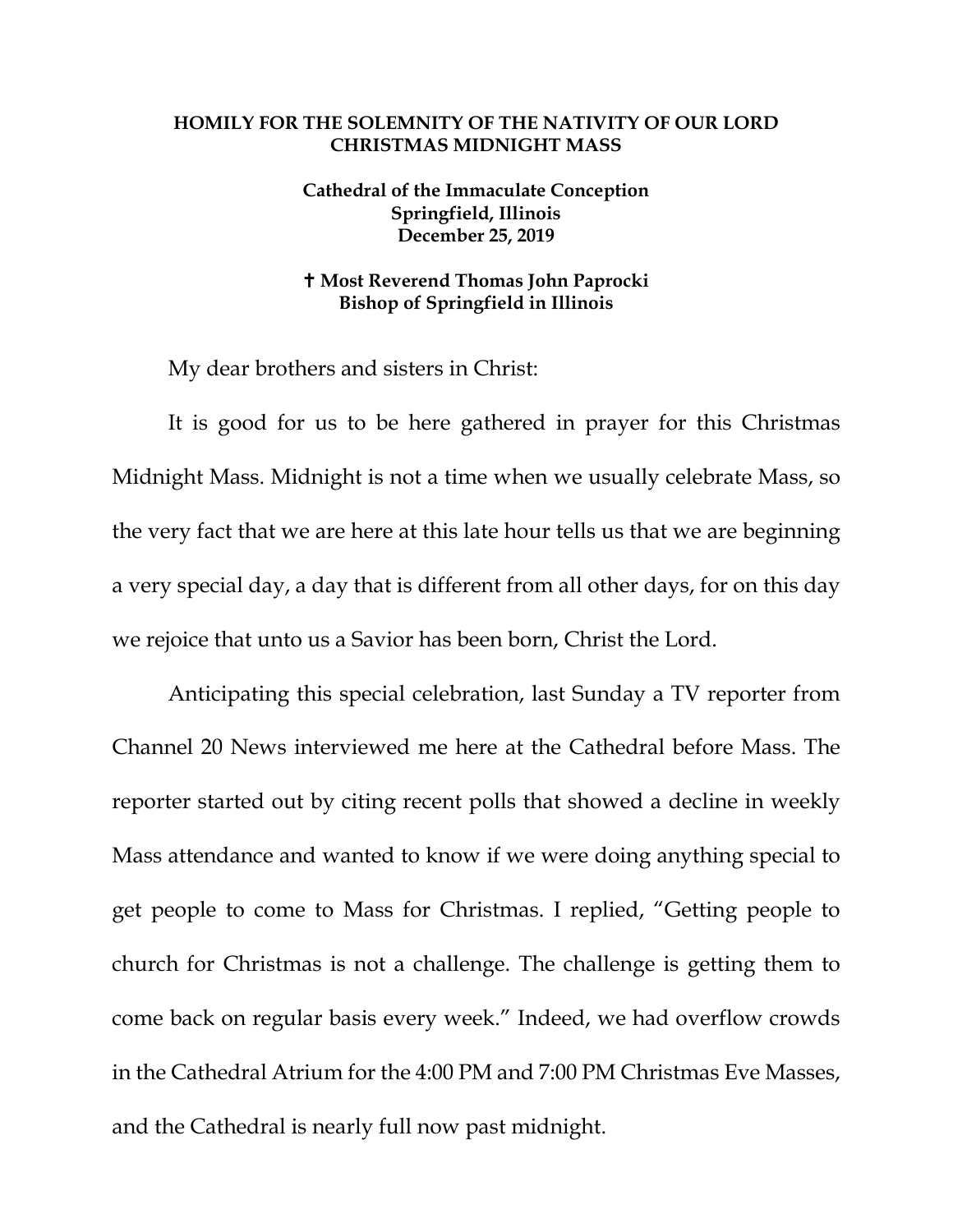## **HOMILY FOR THE SOLEMNITY OF THE NATIVITY OF OUR LORD CHRISTMAS MIDNIGHT MASS**

## **Cathedral of the Immaculate Conception Springfield, Illinois December 25, 2019**

## **Most Reverend Thomas John Paprocki Bishop of Springfield in Illinois**

My dear brothers and sisters in Christ:

It is good for us to be here gathered in prayer for this Christmas Midnight Mass. Midnight is not a time when we usually celebrate Mass, so the very fact that we are here at this late hour tells us that we are beginning a very special day, a day that is different from all other days, for on this day we rejoice that unto us a Savior has been born, Christ the Lord.

Anticipating this special celebration, last Sunday a TV reporter from Channel 20 News interviewed me here at the Cathedral before Mass. The reporter started out by citing recent polls that showed a decline in weekly Mass attendance and wanted to know if we were doing anything special to get people to come to Mass for Christmas. I replied, "Getting people to church for Christmas is not a challenge. The challenge is getting them to come back on regular basis every week." Indeed, we had overflow crowds in the Cathedral Atrium for the 4:00 PM and 7:00 PM Christmas Eve Masses, and the Cathedral is nearly full now past midnight.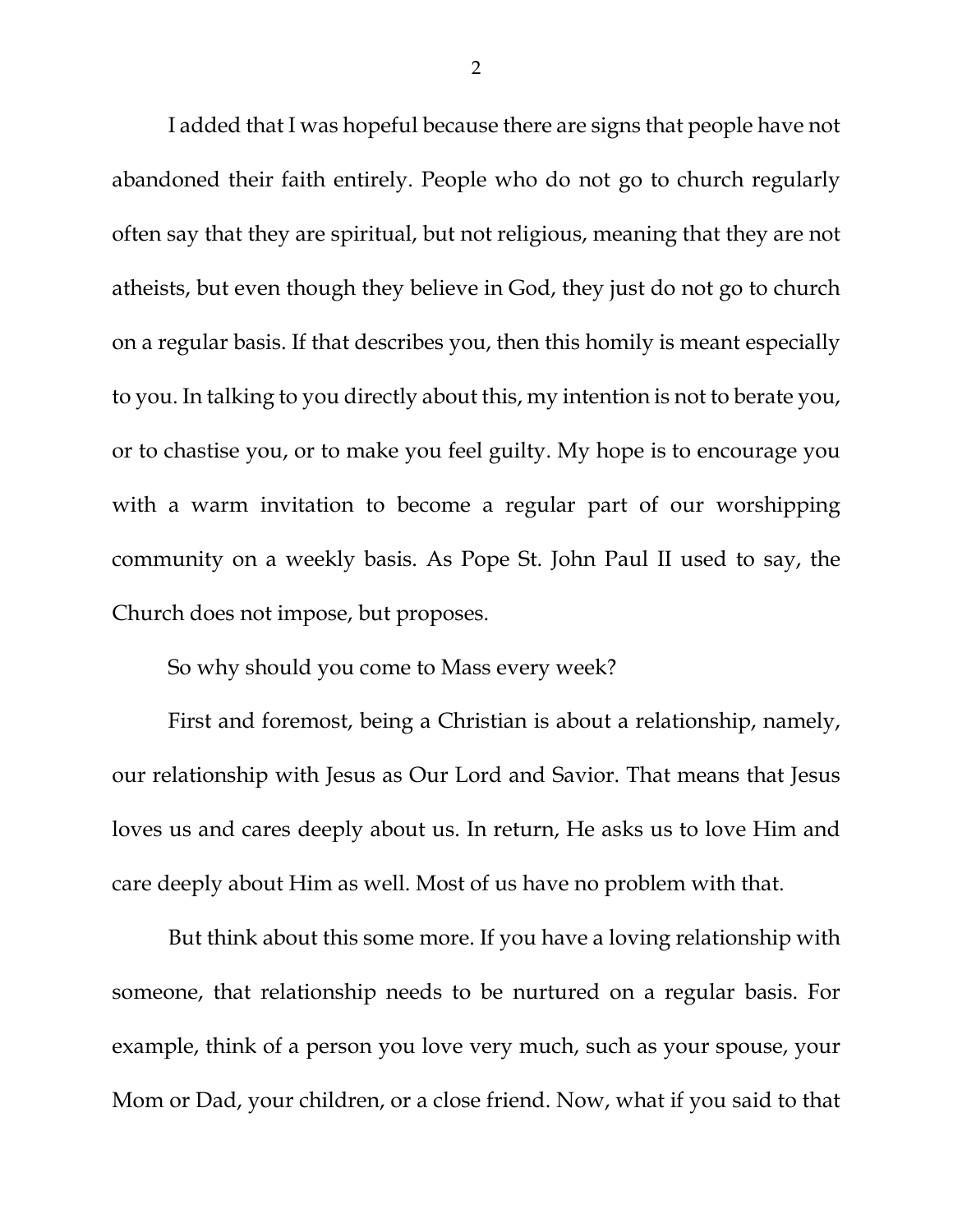I added that I was hopeful because there are signs that people have not abandoned their faith entirely. People who do not go to church regularly often say that they are spiritual, but not religious, meaning that they are not atheists, but even though they believe in God, they just do not go to church on a regular basis. If that describes you, then this homily is meant especially to you. In talking to you directly about this, my intention is not to berate you, or to chastise you, or to make you feel guilty. My hope is to encourage you with a warm invitation to become a regular part of our worshipping community on a weekly basis. As Pope St. John Paul II used to say, the Church does not impose, but proposes.

So why should you come to Mass every week?

First and foremost, being a Christian is about a relationship, namely, our relationship with Jesus as Our Lord and Savior. That means that Jesus loves us and cares deeply about us. In return, He asks us to love Him and care deeply about Him as well. Most of us have no problem with that.

But think about this some more. If you have a loving relationship with someone, that relationship needs to be nurtured on a regular basis. For example, think of a person you love very much, such as your spouse, your Mom or Dad, your children, or a close friend. Now, what if you said to that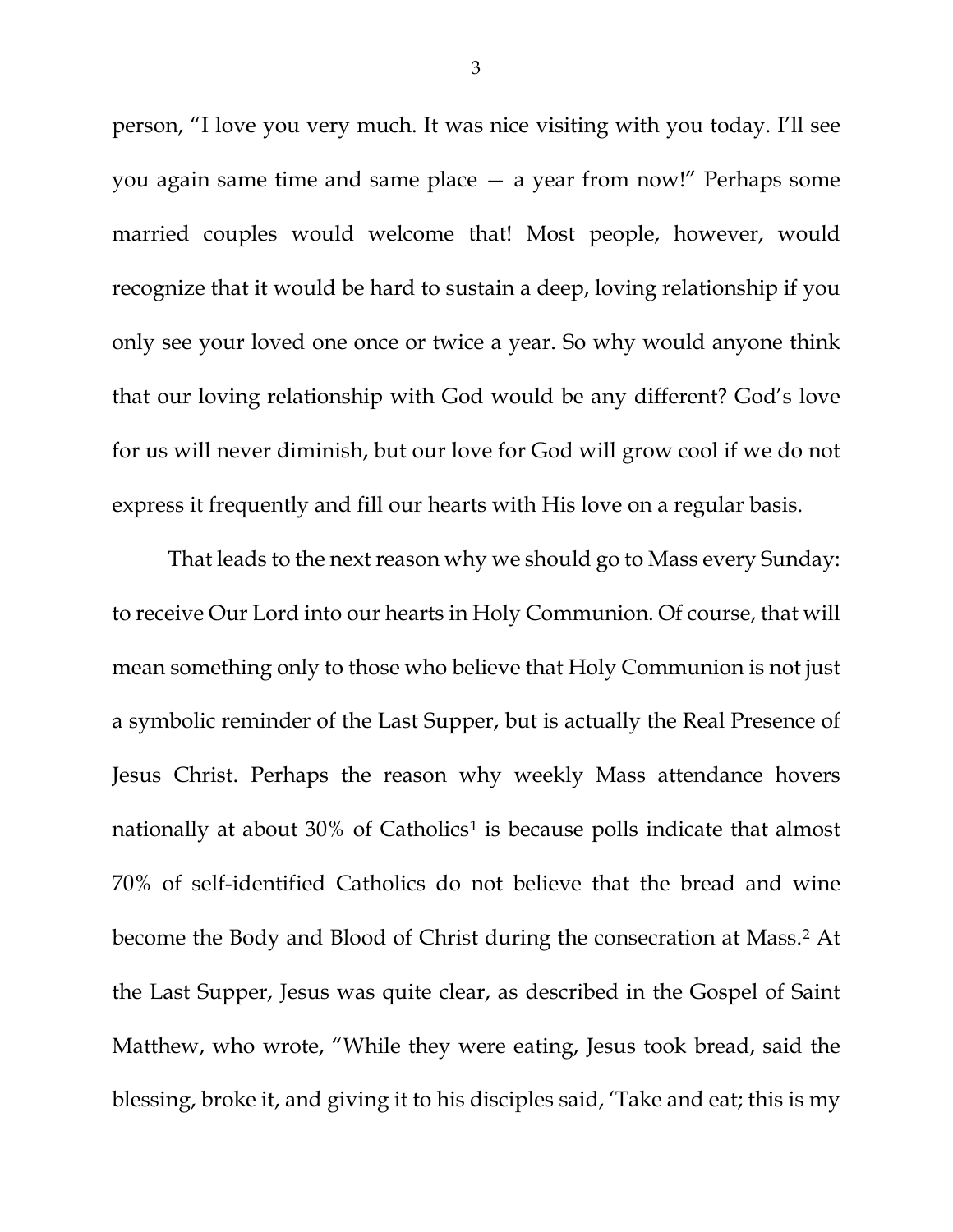person, "I love you very much. It was nice visiting with you today. I'll see you again same time and same place — a year from now!" Perhaps some married couples would welcome that! Most people, however, would recognize that it would be hard to sustain a deep, loving relationship if you only see your loved one once or twice a year. So why would anyone think that our loving relationship with God would be any different? God's love for us will never diminish, but our love for God will grow cool if we do not express it frequently and fill our hearts with His love on a regular basis.

<span id="page-2-2"></span><span id="page-2-1"></span><span id="page-2-0"></span>That leads to the next reason why we should go to Mass every Sunday: to receive Our Lord into our hearts in Holy Communion. Of course, that will mean something only to those who believe that Holy Communion is not just a symbolic reminder of the Last Supper, but is actually the Real Presence of Jesus Christ. Perhaps the reason why weekly Mass attendance hovers nationally at about 30% of Catholics<sup>[1](#page-2-0)</sup> is because polls indicate that almost 70% of self-identified Catholics do not believe that the bread and wine become the Body and Blood of Christ during the consecration at Mass.[2](#page-2-1) At the Last Supper, Jesus was quite clear, as described in the Gospel of Saint Matthew, who wrote, "While they were eating, Jesus took bread, said the blessing, broke it, and giving it to his disciples said, 'Take and eat; this is my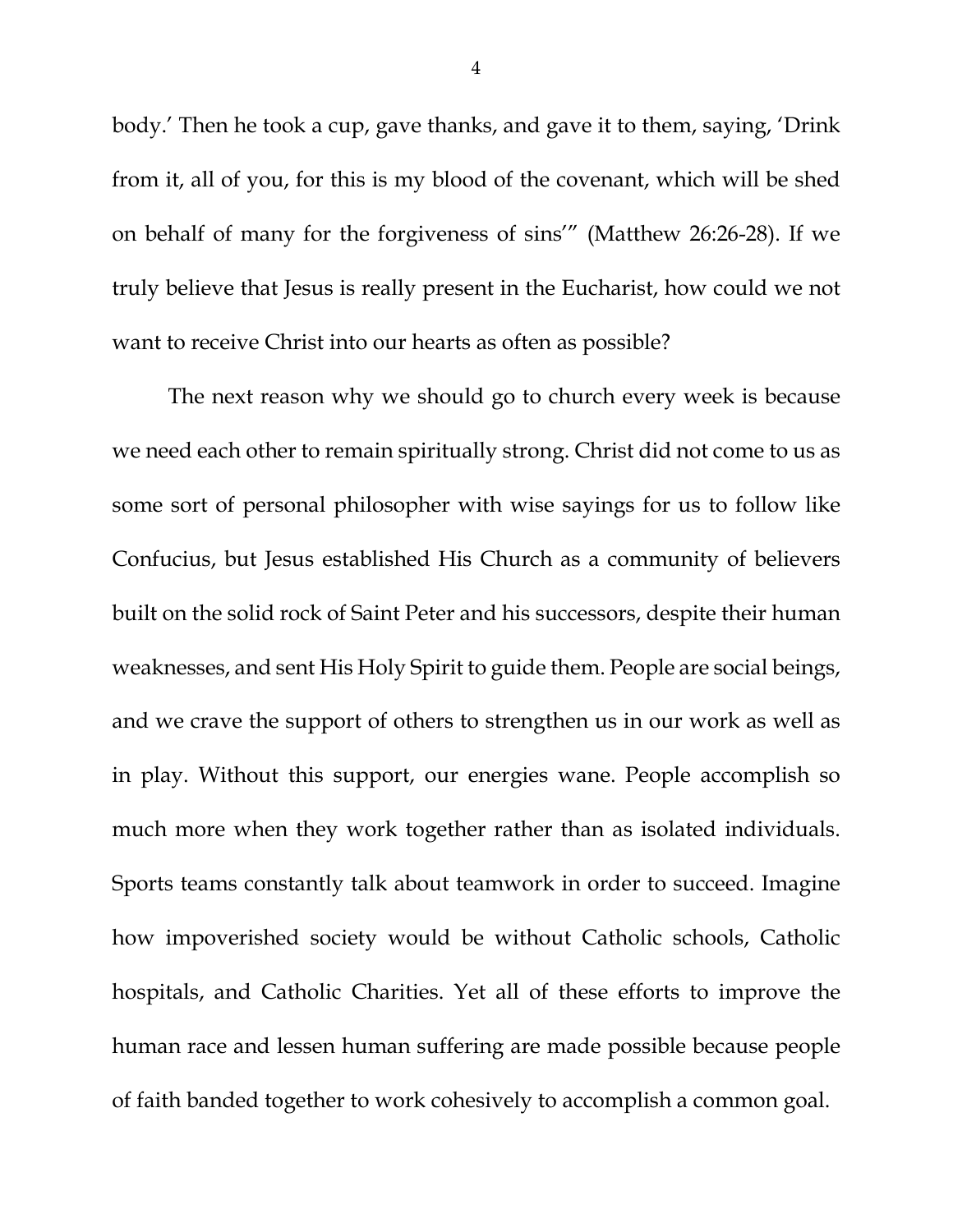body.' Then he took a cup, gave thanks, and gave it to them, saying, 'Drink from it, all of you, for this is my blood of the covenant, which will be shed on behalf of many for the forgiveness of sins'" (Matthew 26:26-28). If we truly believe that Jesus is really present in the Eucharist, how could we not want to receive Christ into our hearts as often as possible?

The next reason why we should go to church every week is because we need each other to remain spiritually strong. Christ did not come to us as some sort of personal philosopher with wise sayings for us to follow like Confucius, but Jesus established His Church as a community of believers built on the solid rock of Saint Peter and his successors, despite their human weaknesses, and sent His Holy Spirit to guide them. People are social beings, and we crave the support of others to strengthen us in our work as well as in play. Without this support, our energies wane. People accomplish so much more when they work together rather than as isolated individuals. Sports teams constantly talk about teamwork in order to succeed. Imagine how impoverished society would be without Catholic schools, Catholic hospitals, and Catholic Charities. Yet all of these efforts to improve the human race and lessen human suffering are made possible because people of faith banded together to work cohesively to accomplish a common goal.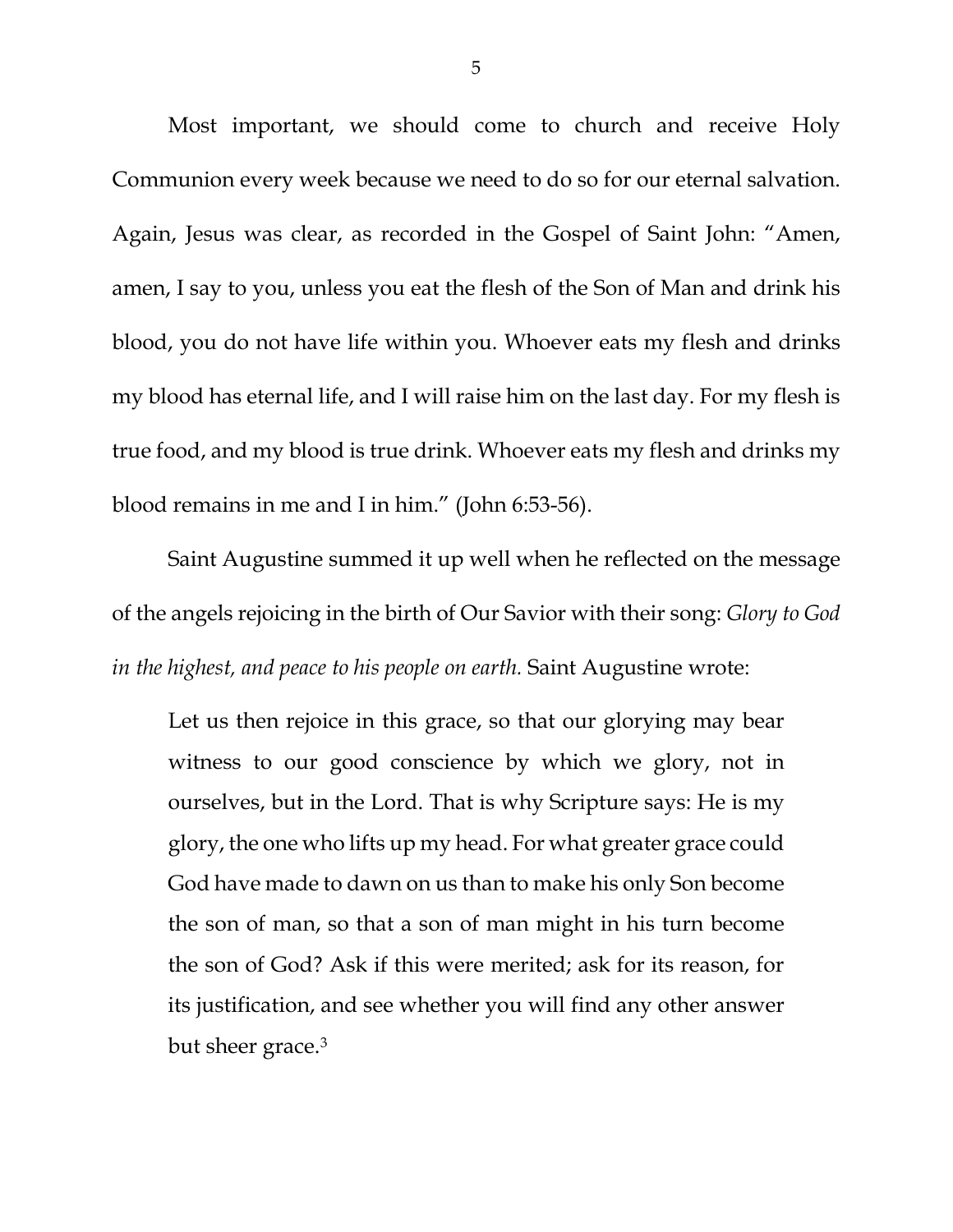Most important, we should come to church and receive Holy Communion every week because we need to do so for our eternal salvation. Again, Jesus was clear, as recorded in the Gospel of Saint John: "Amen, amen, I say to you, unless you eat the flesh of the Son of Man and drink his blood, you do not have life within you. Whoever eats my flesh and drinks my blood has eternal life, and I will raise him on the last day. For my flesh is true food, and my blood is true drink. Whoever eats my flesh and drinks my blood remains in me and I in him." (John 6:53-56).

Saint Augustine summed it up well when he reflected on the message of the angels rejoicing in the birth of Our Savior with their song: *Glory to God in the highest, and peace to his people on earth.* Saint Augustine wrote:

Let us then rejoice in this grace, so that our glorying may bear witness to our good conscience by which we glory, not in ourselves, but in the Lord. That is why Scripture says: He is my glory, the one who lifts up my head. For what greater grace could God have made to dawn on us than to make his only Son become the son of man, so that a son of man might in his turn become the son of God? Ask if this were merited; ask for its reason, for its justification, and see whether you will find any other answer but sheer grace.[3](#page-2-2)